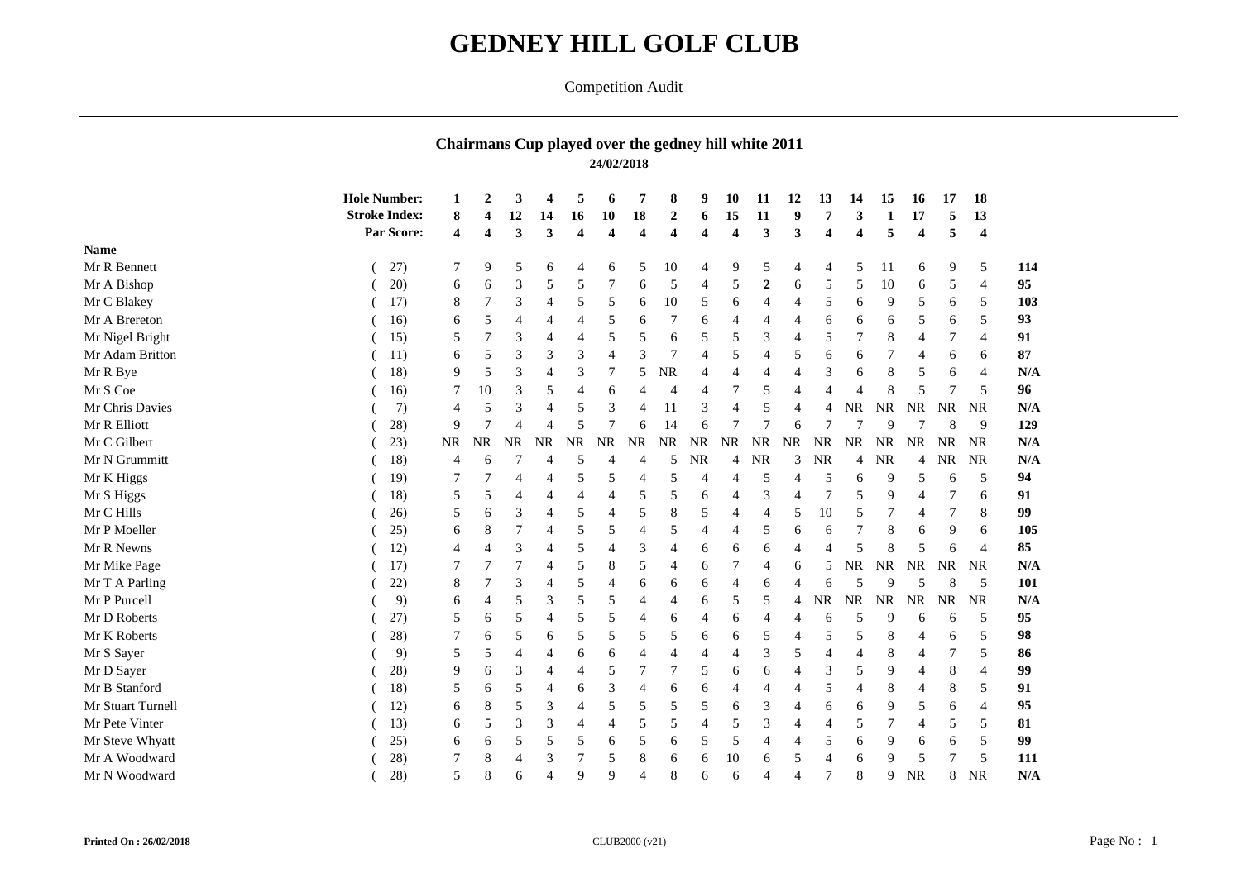## **GEDNEY HILL GOLF CLUB**

## Competition Audit

## **Chairmans Cup played over the gedney hill white 2011 24/02/2018**

| <b>Stroke Index:</b><br>18<br>13<br>10<br>$\boldsymbol{2}$<br>15<br>11<br>9<br>17<br>12<br>14<br>16<br>3<br>8<br>6<br>5<br>Par Score:<br>3<br>3<br>3<br>3<br>$\overline{\mathbf{4}}$<br>5<br>$\boldsymbol{4}$<br>$\overline{\mathbf{4}}$<br>$\overline{\mathbf{4}}$<br>4<br>$\boldsymbol{4}$<br>4<br>4<br>$\boldsymbol{4}$<br><b>Name</b><br>Mr R Bennett<br>27)<br>7<br>10<br>5<br>5<br>5<br>9<br>5<br>5<br>9<br>11<br>9<br>6<br>6<br>4<br>$\overline{4}$<br>4<br>6<br>4<br>Mr A Bishop<br>20)<br>3<br>5<br>5<br>5<br>$\overline{2}$<br>5<br>6<br>5<br>7<br>$\overline{4}$<br>5<br>10<br>5<br>6<br>6<br>6<br>$\overline{4}$<br>6<br>Mr C Blakey<br>$10\,$<br>17)<br>8<br>3<br>5<br>5<br>5<br>$\overline{5}$<br>9<br>5<br>5<br>6<br>6<br>6<br>4<br>4<br>6<br>7<br>Mr A Brereton<br>16)<br>5<br>6<br>5<br>6<br>5<br>4<br>6<br>$\overline{4}$<br>5<br>6<br>4<br>4<br>6<br>6<br>6<br>Mr Nigel Bright<br>5<br>5<br>5<br>5<br>3<br>15)<br>3<br>6<br>5<br>7<br>5<br>4<br>$\overline{4}$<br>8<br>$\overline{4}$<br>3<br>Mr Adam Britton<br>3<br>3<br>3<br>7<br>5<br>5<br>11)<br>5<br>4<br>6<br>$\overline{4}$<br>6<br>6<br>6<br>6<br>4<br>Mr R Bye<br>18)<br>3<br>5<br><b>NR</b><br>3<br>9<br>3<br>7<br>$\overline{4}$<br>8<br>5<br>$\overline{4}$<br>$\overline{4}$<br>4<br>5<br>6<br>$\overline{4}$<br>6<br>Mr S Coe<br>7<br>10<br>3<br>5<br>8<br>5<br>16)<br>5<br>6<br>4<br>4<br>4<br>4<br>Mr Chris Davies<br>7)<br><b>NR</b><br>5<br>3<br>3<br>$\rm NR$<br><b>NR</b><br><b>NR</b><br>3<br>5<br>$\overline{4}$<br><b>NR</b><br>5<br>4<br>11<br>$\overline{4}$<br>4<br>4<br>$\overline{4}$<br>Mr R Elliott<br>7<br>$\overline{7}$<br>28)<br>9<br>5<br>14<br>6<br>9<br>9<br>6<br>6<br>Mr C Gilbert<br>23)<br><b>NR</b><br><b>NR</b><br><b>NR</b><br>NR<br><b>NR</b><br><b>NR</b><br><b>NR</b><br><b>NR</b><br><b>NR</b><br>NR<br><b>NR</b><br><b>NR</b><br><b>NR</b><br>NR<br>NR<br><b>NR</b><br>NR<br><b>NR</b><br>Mr N Grummitt<br>18)<br>3<br>NR<br>NR<br>NR<br><b>NR</b><br>5<br>5<br>4<br>NR.<br>NR<br>4<br>6<br>$\overline{4}$<br>4<br>4<br>4<br>$\overline{4}$<br>Mr K Higgs<br>19)<br>5<br>7<br>5<br>5<br>5<br>5<br>9<br>5<br>4<br>4<br>$\overline{4}$<br>$\overline{4}$<br>6<br>6<br>Mr S Higgs<br>18)<br>5<br>5<br>3<br>5<br>6<br>5<br>9<br>6<br>.5<br>4<br>$\overline{4}$<br>4<br>4<br>Mr C Hills<br>8<br>5<br>5<br>10<br>8<br>26)<br>5<br>3<br>5<br>$\overline{4}$<br>5<br>$\overline{4}$<br>5<br>6<br>$\overline{4}$<br>7<br>$\overline{4}$<br>Mr P Moeller<br>5<br>5<br>5<br>5<br>25)<br>8<br>$\overline{4}$<br>6<br>4<br>4<br>6<br>8<br>9<br>$\overline{4}$<br>6<br>6<br>6<br>Mr R Newns<br>12)<br>3<br>5<br>3<br>8<br>$\overline{4}$<br>6<br>6<br>6<br>5<br>4<br>4<br>4<br>5<br>6<br>$\overline{4}$<br>$\rm NR$<br>Mr Mike Page<br>17)<br>5<br>5<br>NR<br>NR<br><b>NR</b><br><b>NR</b><br>7<br>8<br>6<br>7<br>5<br>4<br>4<br>4<br>6<br>Mr T A Parling<br>22)<br>8<br>3<br>5<br>$\overline{4}$<br>6<br>6<br>6<br>4<br>5<br>9<br>-5<br>$\overline{4}$<br>6<br>5<br>$\overline{4}$<br>6<br>Mr P Purcell<br>$\rm NR$<br><b>NR</b><br>9)<br>3<br>5<br>5<br>5<br>NR<br><b>NR</b><br><b>NR</b><br><b>NR</b><br>5<br>6<br>5<br>4<br>4<br>$\overline{4}$<br>6<br>Mr D Roberts<br>5<br>5<br>27)<br>5<br>5<br>5<br>6<br>6<br>5<br>6<br>$\overline{4}$<br>4<br>4<br>4<br>9<br>4<br>6<br>6<br><sub>6</sub><br>Mr K Roberts<br>28)<br>5<br>5<br>5<br>5<br>7<br>5<br>5<br>6<br>6<br>5<br>5<br>8<br>5<br>6<br>$\overline{4}$<br>6<br>6<br>Mr S Sayer<br>9)<br>3<br>5<br>8<br>5<br>5<br>6<br>6<br>4<br>4<br>4<br>5<br>4<br>4<br>4<br>4<br>4<br>4<br>Mr D Sayer<br>28)<br>5<br>7<br>7<br>3<br>8<br>9<br>3<br>5<br>6<br>6<br>5<br>9<br>6<br>$\overline{4}$<br>4<br>$\overline{4}$<br>4<br>Mr B Stanford<br>18)<br>3<br>6<br>5<br>8<br>8<br>5<br>5<br>6<br>$\overline{4}$<br>4<br>6<br>4<br>4<br>4<br>4<br>5<br>6<br>4<br>Mr Stuart Turnell<br>3<br>12)<br>8<br>3<br>5<br>5<br>5<br>5<br>5<br>6<br>9<br>6<br>$\overline{4}$<br>6<br>6<br>$\overline{4}$<br>6<br>5<br>$\overline{4}$<br>Mr Pete Vinter<br>3<br>5<br>5<br>5<br>3<br>7<br>13)<br>3<br>$\overline{4}$<br>$\overline{4}$<br>5<br>5<br>6<br>$\overline{4}$<br>4<br>$\overline{4}$<br>.5<br>5<br>4<br>Mr Steve Whyatt<br>25)<br>5<br>5<br>5<br>5<br>5<br>5<br>5<br>5<br>9<br>6<br>6<br>$\overline{4}$<br>6<br>6<br>6<br>6<br>6<br>Mr A Woodward<br>28)<br>7<br>8<br>7<br>3<br>5<br>6<br>10<br>.5<br>8<br>6<br>5<br>$\overline{\mathcal{L}}$<br>9<br>4<br>6<br>5<br>6<br>28)<br>5 |               | <b>Hole Number:</b> | $\mathbf{2}$ | 3 | 4              | 5 | 6 | 7              | 8 | 9 | 10 | 11             | 12             | 13 | 14 | 15 | 16        | 17 | 18        |  |
|---------------------------------------------------------------------------------------------------------------------------------------------------------------------------------------------------------------------------------------------------------------------------------------------------------------------------------------------------------------------------------------------------------------------------------------------------------------------------------------------------------------------------------------------------------------------------------------------------------------------------------------------------------------------------------------------------------------------------------------------------------------------------------------------------------------------------------------------------------------------------------------------------------------------------------------------------------------------------------------------------------------------------------------------------------------------------------------------------------------------------------------------------------------------------------------------------------------------------------------------------------------------------------------------------------------------------------------------------------------------------------------------------------------------------------------------------------------------------------------------------------------------------------------------------------------------------------------------------------------------------------------------------------------------------------------------------------------------------------------------------------------------------------------------------------------------------------------------------------------------------------------------------------------------------------------------------------------------------------------------------------------------------------------------------------------------------------------------------------------------------------------------------------------------------------------------------------------------------------------------------------------------------------------------------------------------------------------------------------------------------------------------------------------------------------------------------------------------------------------------------------------------------------------------------------------------------------------------------------------------------------------------------------------------------------------------------------------------------------------------------------------------------------------------------------------------------------------------------------------------------------------------------------------------------------------------------------------------------------------------------------------------------------------------------------------------------------------------------------------------------------------------------------------------------------------------------------------------------------------------------------------------------------------------------------------------------------------------------------------------------------------------------------------------------------------------------------------------------------------------------------------------------------------------------------------------------------------------------------------------------------------------------------------------------------------------------------------------------------------------------------------------------------------------------------------------------------------------------------------------------------------------------------------------------------------------------------------------------------------------------------------------------------------------------------------------------------------------------------------------------------------------------------------------------------------------------------------------------------------------------------------------------------------------------------------------------------------------------------------------------------------------------------------------------------|---------------|---------------------|--------------|---|----------------|---|---|----------------|---|---|----|----------------|----------------|----|----|----|-----------|----|-----------|--|
|                                                                                                                                                                                                                                                                                                                                                                                                                                                                                                                                                                                                                                                                                                                                                                                                                                                                                                                                                                                                                                                                                                                                                                                                                                                                                                                                                                                                                                                                                                                                                                                                                                                                                                                                                                                                                                                                                                                                                                                                                                                                                                                                                                                                                                                                                                                                                                                                                                                                                                                                                                                                                                                                                                                                                                                                                                                                                                                                                                                                                                                                                                                                                                                                                                                                                                                                                                                                                                                                                                                                                                                                                                                                                                                                                                                                                                                                                                                                                                                                                                                                                                                                                                                                                                                                                                                                                                                                                                 |               |                     |              |   |                |   |   |                |   |   |    |                |                |    |    |    |           |    |           |  |
|                                                                                                                                                                                                                                                                                                                                                                                                                                                                                                                                                                                                                                                                                                                                                                                                                                                                                                                                                                                                                                                                                                                                                                                                                                                                                                                                                                                                                                                                                                                                                                                                                                                                                                                                                                                                                                                                                                                                                                                                                                                                                                                                                                                                                                                                                                                                                                                                                                                                                                                                                                                                                                                                                                                                                                                                                                                                                                                                                                                                                                                                                                                                                                                                                                                                                                                                                                                                                                                                                                                                                                                                                                                                                                                                                                                                                                                                                                                                                                                                                                                                                                                                                                                                                                                                                                                                                                                                                                 |               |                     |              |   |                |   |   |                |   |   |    |                |                |    |    |    |           |    |           |  |
|                                                                                                                                                                                                                                                                                                                                                                                                                                                                                                                                                                                                                                                                                                                                                                                                                                                                                                                                                                                                                                                                                                                                                                                                                                                                                                                                                                                                                                                                                                                                                                                                                                                                                                                                                                                                                                                                                                                                                                                                                                                                                                                                                                                                                                                                                                                                                                                                                                                                                                                                                                                                                                                                                                                                                                                                                                                                                                                                                                                                                                                                                                                                                                                                                                                                                                                                                                                                                                                                                                                                                                                                                                                                                                                                                                                                                                                                                                                                                                                                                                                                                                                                                                                                                                                                                                                                                                                                                                 |               |                     |              |   |                |   |   |                |   |   |    |                |                |    |    |    |           |    |           |  |
|                                                                                                                                                                                                                                                                                                                                                                                                                                                                                                                                                                                                                                                                                                                                                                                                                                                                                                                                                                                                                                                                                                                                                                                                                                                                                                                                                                                                                                                                                                                                                                                                                                                                                                                                                                                                                                                                                                                                                                                                                                                                                                                                                                                                                                                                                                                                                                                                                                                                                                                                                                                                                                                                                                                                                                                                                                                                                                                                                                                                                                                                                                                                                                                                                                                                                                                                                                                                                                                                                                                                                                                                                                                                                                                                                                                                                                                                                                                                                                                                                                                                                                                                                                                                                                                                                                                                                                                                                                 |               |                     |              |   |                |   |   |                |   |   |    |                |                |    |    |    |           |    |           |  |
|                                                                                                                                                                                                                                                                                                                                                                                                                                                                                                                                                                                                                                                                                                                                                                                                                                                                                                                                                                                                                                                                                                                                                                                                                                                                                                                                                                                                                                                                                                                                                                                                                                                                                                                                                                                                                                                                                                                                                                                                                                                                                                                                                                                                                                                                                                                                                                                                                                                                                                                                                                                                                                                                                                                                                                                                                                                                                                                                                                                                                                                                                                                                                                                                                                                                                                                                                                                                                                                                                                                                                                                                                                                                                                                                                                                                                                                                                                                                                                                                                                                                                                                                                                                                                                                                                                                                                                                                                                 |               |                     |              |   |                |   |   |                |   |   |    |                |                |    |    |    |           |    |           |  |
|                                                                                                                                                                                                                                                                                                                                                                                                                                                                                                                                                                                                                                                                                                                                                                                                                                                                                                                                                                                                                                                                                                                                                                                                                                                                                                                                                                                                                                                                                                                                                                                                                                                                                                                                                                                                                                                                                                                                                                                                                                                                                                                                                                                                                                                                                                                                                                                                                                                                                                                                                                                                                                                                                                                                                                                                                                                                                                                                                                                                                                                                                                                                                                                                                                                                                                                                                                                                                                                                                                                                                                                                                                                                                                                                                                                                                                                                                                                                                                                                                                                                                                                                                                                                                                                                                                                                                                                                                                 |               |                     |              |   |                |   |   |                |   |   |    |                |                |    |    |    |           |    |           |  |
|                                                                                                                                                                                                                                                                                                                                                                                                                                                                                                                                                                                                                                                                                                                                                                                                                                                                                                                                                                                                                                                                                                                                                                                                                                                                                                                                                                                                                                                                                                                                                                                                                                                                                                                                                                                                                                                                                                                                                                                                                                                                                                                                                                                                                                                                                                                                                                                                                                                                                                                                                                                                                                                                                                                                                                                                                                                                                                                                                                                                                                                                                                                                                                                                                                                                                                                                                                                                                                                                                                                                                                                                                                                                                                                                                                                                                                                                                                                                                                                                                                                                                                                                                                                                                                                                                                                                                                                                                                 |               |                     |              |   |                |   |   |                |   |   |    |                |                |    |    |    |           |    |           |  |
|                                                                                                                                                                                                                                                                                                                                                                                                                                                                                                                                                                                                                                                                                                                                                                                                                                                                                                                                                                                                                                                                                                                                                                                                                                                                                                                                                                                                                                                                                                                                                                                                                                                                                                                                                                                                                                                                                                                                                                                                                                                                                                                                                                                                                                                                                                                                                                                                                                                                                                                                                                                                                                                                                                                                                                                                                                                                                                                                                                                                                                                                                                                                                                                                                                                                                                                                                                                                                                                                                                                                                                                                                                                                                                                                                                                                                                                                                                                                                                                                                                                                                                                                                                                                                                                                                                                                                                                                                                 |               |                     |              |   |                |   |   |                |   |   |    |                |                |    |    |    |           |    |           |  |
|                                                                                                                                                                                                                                                                                                                                                                                                                                                                                                                                                                                                                                                                                                                                                                                                                                                                                                                                                                                                                                                                                                                                                                                                                                                                                                                                                                                                                                                                                                                                                                                                                                                                                                                                                                                                                                                                                                                                                                                                                                                                                                                                                                                                                                                                                                                                                                                                                                                                                                                                                                                                                                                                                                                                                                                                                                                                                                                                                                                                                                                                                                                                                                                                                                                                                                                                                                                                                                                                                                                                                                                                                                                                                                                                                                                                                                                                                                                                                                                                                                                                                                                                                                                                                                                                                                                                                                                                                                 |               |                     |              |   |                |   |   |                |   |   |    |                |                |    |    |    |           |    |           |  |
|                                                                                                                                                                                                                                                                                                                                                                                                                                                                                                                                                                                                                                                                                                                                                                                                                                                                                                                                                                                                                                                                                                                                                                                                                                                                                                                                                                                                                                                                                                                                                                                                                                                                                                                                                                                                                                                                                                                                                                                                                                                                                                                                                                                                                                                                                                                                                                                                                                                                                                                                                                                                                                                                                                                                                                                                                                                                                                                                                                                                                                                                                                                                                                                                                                                                                                                                                                                                                                                                                                                                                                                                                                                                                                                                                                                                                                                                                                                                                                                                                                                                                                                                                                                                                                                                                                                                                                                                                                 |               |                     |              |   |                |   |   |                |   |   |    |                |                |    |    |    |           |    |           |  |
|                                                                                                                                                                                                                                                                                                                                                                                                                                                                                                                                                                                                                                                                                                                                                                                                                                                                                                                                                                                                                                                                                                                                                                                                                                                                                                                                                                                                                                                                                                                                                                                                                                                                                                                                                                                                                                                                                                                                                                                                                                                                                                                                                                                                                                                                                                                                                                                                                                                                                                                                                                                                                                                                                                                                                                                                                                                                                                                                                                                                                                                                                                                                                                                                                                                                                                                                                                                                                                                                                                                                                                                                                                                                                                                                                                                                                                                                                                                                                                                                                                                                                                                                                                                                                                                                                                                                                                                                                                 |               |                     |              |   |                |   |   |                |   |   |    |                |                |    |    |    |           |    |           |  |
|                                                                                                                                                                                                                                                                                                                                                                                                                                                                                                                                                                                                                                                                                                                                                                                                                                                                                                                                                                                                                                                                                                                                                                                                                                                                                                                                                                                                                                                                                                                                                                                                                                                                                                                                                                                                                                                                                                                                                                                                                                                                                                                                                                                                                                                                                                                                                                                                                                                                                                                                                                                                                                                                                                                                                                                                                                                                                                                                                                                                                                                                                                                                                                                                                                                                                                                                                                                                                                                                                                                                                                                                                                                                                                                                                                                                                                                                                                                                                                                                                                                                                                                                                                                                                                                                                                                                                                                                                                 |               |                     |              |   |                |   |   |                |   |   |    |                |                |    |    |    |           |    |           |  |
|                                                                                                                                                                                                                                                                                                                                                                                                                                                                                                                                                                                                                                                                                                                                                                                                                                                                                                                                                                                                                                                                                                                                                                                                                                                                                                                                                                                                                                                                                                                                                                                                                                                                                                                                                                                                                                                                                                                                                                                                                                                                                                                                                                                                                                                                                                                                                                                                                                                                                                                                                                                                                                                                                                                                                                                                                                                                                                                                                                                                                                                                                                                                                                                                                                                                                                                                                                                                                                                                                                                                                                                                                                                                                                                                                                                                                                                                                                                                                                                                                                                                                                                                                                                                                                                                                                                                                                                                                                 |               |                     |              |   |                |   |   |                |   |   |    |                |                |    |    |    |           |    |           |  |
|                                                                                                                                                                                                                                                                                                                                                                                                                                                                                                                                                                                                                                                                                                                                                                                                                                                                                                                                                                                                                                                                                                                                                                                                                                                                                                                                                                                                                                                                                                                                                                                                                                                                                                                                                                                                                                                                                                                                                                                                                                                                                                                                                                                                                                                                                                                                                                                                                                                                                                                                                                                                                                                                                                                                                                                                                                                                                                                                                                                                                                                                                                                                                                                                                                                                                                                                                                                                                                                                                                                                                                                                                                                                                                                                                                                                                                                                                                                                                                                                                                                                                                                                                                                                                                                                                                                                                                                                                                 |               |                     |              |   |                |   |   |                |   |   |    |                |                |    |    |    |           |    |           |  |
|                                                                                                                                                                                                                                                                                                                                                                                                                                                                                                                                                                                                                                                                                                                                                                                                                                                                                                                                                                                                                                                                                                                                                                                                                                                                                                                                                                                                                                                                                                                                                                                                                                                                                                                                                                                                                                                                                                                                                                                                                                                                                                                                                                                                                                                                                                                                                                                                                                                                                                                                                                                                                                                                                                                                                                                                                                                                                                                                                                                                                                                                                                                                                                                                                                                                                                                                                                                                                                                                                                                                                                                                                                                                                                                                                                                                                                                                                                                                                                                                                                                                                                                                                                                                                                                                                                                                                                                                                                 |               |                     |              |   |                |   |   |                |   |   |    |                |                |    |    |    |           |    |           |  |
|                                                                                                                                                                                                                                                                                                                                                                                                                                                                                                                                                                                                                                                                                                                                                                                                                                                                                                                                                                                                                                                                                                                                                                                                                                                                                                                                                                                                                                                                                                                                                                                                                                                                                                                                                                                                                                                                                                                                                                                                                                                                                                                                                                                                                                                                                                                                                                                                                                                                                                                                                                                                                                                                                                                                                                                                                                                                                                                                                                                                                                                                                                                                                                                                                                                                                                                                                                                                                                                                                                                                                                                                                                                                                                                                                                                                                                                                                                                                                                                                                                                                                                                                                                                                                                                                                                                                                                                                                                 |               |                     |              |   |                |   |   |                |   |   |    |                |                |    |    |    |           |    |           |  |
|                                                                                                                                                                                                                                                                                                                                                                                                                                                                                                                                                                                                                                                                                                                                                                                                                                                                                                                                                                                                                                                                                                                                                                                                                                                                                                                                                                                                                                                                                                                                                                                                                                                                                                                                                                                                                                                                                                                                                                                                                                                                                                                                                                                                                                                                                                                                                                                                                                                                                                                                                                                                                                                                                                                                                                                                                                                                                                                                                                                                                                                                                                                                                                                                                                                                                                                                                                                                                                                                                                                                                                                                                                                                                                                                                                                                                                                                                                                                                                                                                                                                                                                                                                                                                                                                                                                                                                                                                                 |               |                     |              |   |                |   |   |                |   |   |    |                |                |    |    |    |           |    |           |  |
|                                                                                                                                                                                                                                                                                                                                                                                                                                                                                                                                                                                                                                                                                                                                                                                                                                                                                                                                                                                                                                                                                                                                                                                                                                                                                                                                                                                                                                                                                                                                                                                                                                                                                                                                                                                                                                                                                                                                                                                                                                                                                                                                                                                                                                                                                                                                                                                                                                                                                                                                                                                                                                                                                                                                                                                                                                                                                                                                                                                                                                                                                                                                                                                                                                                                                                                                                                                                                                                                                                                                                                                                                                                                                                                                                                                                                                                                                                                                                                                                                                                                                                                                                                                                                                                                                                                                                                                                                                 |               |                     |              |   |                |   |   |                |   |   |    |                |                |    |    |    |           |    |           |  |
|                                                                                                                                                                                                                                                                                                                                                                                                                                                                                                                                                                                                                                                                                                                                                                                                                                                                                                                                                                                                                                                                                                                                                                                                                                                                                                                                                                                                                                                                                                                                                                                                                                                                                                                                                                                                                                                                                                                                                                                                                                                                                                                                                                                                                                                                                                                                                                                                                                                                                                                                                                                                                                                                                                                                                                                                                                                                                                                                                                                                                                                                                                                                                                                                                                                                                                                                                                                                                                                                                                                                                                                                                                                                                                                                                                                                                                                                                                                                                                                                                                                                                                                                                                                                                                                                                                                                                                                                                                 |               |                     |              |   |                |   |   |                |   |   |    |                |                |    |    |    |           |    |           |  |
|                                                                                                                                                                                                                                                                                                                                                                                                                                                                                                                                                                                                                                                                                                                                                                                                                                                                                                                                                                                                                                                                                                                                                                                                                                                                                                                                                                                                                                                                                                                                                                                                                                                                                                                                                                                                                                                                                                                                                                                                                                                                                                                                                                                                                                                                                                                                                                                                                                                                                                                                                                                                                                                                                                                                                                                                                                                                                                                                                                                                                                                                                                                                                                                                                                                                                                                                                                                                                                                                                                                                                                                                                                                                                                                                                                                                                                                                                                                                                                                                                                                                                                                                                                                                                                                                                                                                                                                                                                 |               |                     |              |   |                |   |   |                |   |   |    |                |                |    |    |    |           |    |           |  |
|                                                                                                                                                                                                                                                                                                                                                                                                                                                                                                                                                                                                                                                                                                                                                                                                                                                                                                                                                                                                                                                                                                                                                                                                                                                                                                                                                                                                                                                                                                                                                                                                                                                                                                                                                                                                                                                                                                                                                                                                                                                                                                                                                                                                                                                                                                                                                                                                                                                                                                                                                                                                                                                                                                                                                                                                                                                                                                                                                                                                                                                                                                                                                                                                                                                                                                                                                                                                                                                                                                                                                                                                                                                                                                                                                                                                                                                                                                                                                                                                                                                                                                                                                                                                                                                                                                                                                                                                                                 |               |                     |              |   |                |   |   |                |   |   |    |                |                |    |    |    |           |    |           |  |
|                                                                                                                                                                                                                                                                                                                                                                                                                                                                                                                                                                                                                                                                                                                                                                                                                                                                                                                                                                                                                                                                                                                                                                                                                                                                                                                                                                                                                                                                                                                                                                                                                                                                                                                                                                                                                                                                                                                                                                                                                                                                                                                                                                                                                                                                                                                                                                                                                                                                                                                                                                                                                                                                                                                                                                                                                                                                                                                                                                                                                                                                                                                                                                                                                                                                                                                                                                                                                                                                                                                                                                                                                                                                                                                                                                                                                                                                                                                                                                                                                                                                                                                                                                                                                                                                                                                                                                                                                                 |               |                     |              |   |                |   |   |                |   |   |    |                |                |    |    |    |           |    |           |  |
|                                                                                                                                                                                                                                                                                                                                                                                                                                                                                                                                                                                                                                                                                                                                                                                                                                                                                                                                                                                                                                                                                                                                                                                                                                                                                                                                                                                                                                                                                                                                                                                                                                                                                                                                                                                                                                                                                                                                                                                                                                                                                                                                                                                                                                                                                                                                                                                                                                                                                                                                                                                                                                                                                                                                                                                                                                                                                                                                                                                                                                                                                                                                                                                                                                                                                                                                                                                                                                                                                                                                                                                                                                                                                                                                                                                                                                                                                                                                                                                                                                                                                                                                                                                                                                                                                                                                                                                                                                 |               |                     |              |   |                |   |   |                |   |   |    |                |                |    |    |    |           |    |           |  |
|                                                                                                                                                                                                                                                                                                                                                                                                                                                                                                                                                                                                                                                                                                                                                                                                                                                                                                                                                                                                                                                                                                                                                                                                                                                                                                                                                                                                                                                                                                                                                                                                                                                                                                                                                                                                                                                                                                                                                                                                                                                                                                                                                                                                                                                                                                                                                                                                                                                                                                                                                                                                                                                                                                                                                                                                                                                                                                                                                                                                                                                                                                                                                                                                                                                                                                                                                                                                                                                                                                                                                                                                                                                                                                                                                                                                                                                                                                                                                                                                                                                                                                                                                                                                                                                                                                                                                                                                                                 |               |                     |              |   |                |   |   |                |   |   |    |                |                |    |    |    |           |    |           |  |
|                                                                                                                                                                                                                                                                                                                                                                                                                                                                                                                                                                                                                                                                                                                                                                                                                                                                                                                                                                                                                                                                                                                                                                                                                                                                                                                                                                                                                                                                                                                                                                                                                                                                                                                                                                                                                                                                                                                                                                                                                                                                                                                                                                                                                                                                                                                                                                                                                                                                                                                                                                                                                                                                                                                                                                                                                                                                                                                                                                                                                                                                                                                                                                                                                                                                                                                                                                                                                                                                                                                                                                                                                                                                                                                                                                                                                                                                                                                                                                                                                                                                                                                                                                                                                                                                                                                                                                                                                                 |               |                     |              |   |                |   |   |                |   |   |    |                |                |    |    |    |           |    |           |  |
|                                                                                                                                                                                                                                                                                                                                                                                                                                                                                                                                                                                                                                                                                                                                                                                                                                                                                                                                                                                                                                                                                                                                                                                                                                                                                                                                                                                                                                                                                                                                                                                                                                                                                                                                                                                                                                                                                                                                                                                                                                                                                                                                                                                                                                                                                                                                                                                                                                                                                                                                                                                                                                                                                                                                                                                                                                                                                                                                                                                                                                                                                                                                                                                                                                                                                                                                                                                                                                                                                                                                                                                                                                                                                                                                                                                                                                                                                                                                                                                                                                                                                                                                                                                                                                                                                                                                                                                                                                 |               |                     |              |   |                |   |   |                |   |   |    |                |                |    |    |    |           |    |           |  |
|                                                                                                                                                                                                                                                                                                                                                                                                                                                                                                                                                                                                                                                                                                                                                                                                                                                                                                                                                                                                                                                                                                                                                                                                                                                                                                                                                                                                                                                                                                                                                                                                                                                                                                                                                                                                                                                                                                                                                                                                                                                                                                                                                                                                                                                                                                                                                                                                                                                                                                                                                                                                                                                                                                                                                                                                                                                                                                                                                                                                                                                                                                                                                                                                                                                                                                                                                                                                                                                                                                                                                                                                                                                                                                                                                                                                                                                                                                                                                                                                                                                                                                                                                                                                                                                                                                                                                                                                                                 |               |                     |              |   |                |   |   |                |   |   |    |                |                |    |    |    |           |    |           |  |
|                                                                                                                                                                                                                                                                                                                                                                                                                                                                                                                                                                                                                                                                                                                                                                                                                                                                                                                                                                                                                                                                                                                                                                                                                                                                                                                                                                                                                                                                                                                                                                                                                                                                                                                                                                                                                                                                                                                                                                                                                                                                                                                                                                                                                                                                                                                                                                                                                                                                                                                                                                                                                                                                                                                                                                                                                                                                                                                                                                                                                                                                                                                                                                                                                                                                                                                                                                                                                                                                                                                                                                                                                                                                                                                                                                                                                                                                                                                                                                                                                                                                                                                                                                                                                                                                                                                                                                                                                                 |               |                     |              |   |                |   |   |                |   |   |    |                |                |    |    |    |           |    |           |  |
|                                                                                                                                                                                                                                                                                                                                                                                                                                                                                                                                                                                                                                                                                                                                                                                                                                                                                                                                                                                                                                                                                                                                                                                                                                                                                                                                                                                                                                                                                                                                                                                                                                                                                                                                                                                                                                                                                                                                                                                                                                                                                                                                                                                                                                                                                                                                                                                                                                                                                                                                                                                                                                                                                                                                                                                                                                                                                                                                                                                                                                                                                                                                                                                                                                                                                                                                                                                                                                                                                                                                                                                                                                                                                                                                                                                                                                                                                                                                                                                                                                                                                                                                                                                                                                                                                                                                                                                                                                 |               |                     |              |   |                |   |   |                |   |   |    |                |                |    |    |    |           |    |           |  |
|                                                                                                                                                                                                                                                                                                                                                                                                                                                                                                                                                                                                                                                                                                                                                                                                                                                                                                                                                                                                                                                                                                                                                                                                                                                                                                                                                                                                                                                                                                                                                                                                                                                                                                                                                                                                                                                                                                                                                                                                                                                                                                                                                                                                                                                                                                                                                                                                                                                                                                                                                                                                                                                                                                                                                                                                                                                                                                                                                                                                                                                                                                                                                                                                                                                                                                                                                                                                                                                                                                                                                                                                                                                                                                                                                                                                                                                                                                                                                                                                                                                                                                                                                                                                                                                                                                                                                                                                                                 |               |                     |              |   |                |   |   |                |   |   |    |                |                |    |    |    |           |    |           |  |
|                                                                                                                                                                                                                                                                                                                                                                                                                                                                                                                                                                                                                                                                                                                                                                                                                                                                                                                                                                                                                                                                                                                                                                                                                                                                                                                                                                                                                                                                                                                                                                                                                                                                                                                                                                                                                                                                                                                                                                                                                                                                                                                                                                                                                                                                                                                                                                                                                                                                                                                                                                                                                                                                                                                                                                                                                                                                                                                                                                                                                                                                                                                                                                                                                                                                                                                                                                                                                                                                                                                                                                                                                                                                                                                                                                                                                                                                                                                                                                                                                                                                                                                                                                                                                                                                                                                                                                                                                                 |               |                     |              |   |                |   |   |                |   |   |    |                |                |    |    |    |           |    |           |  |
|                                                                                                                                                                                                                                                                                                                                                                                                                                                                                                                                                                                                                                                                                                                                                                                                                                                                                                                                                                                                                                                                                                                                                                                                                                                                                                                                                                                                                                                                                                                                                                                                                                                                                                                                                                                                                                                                                                                                                                                                                                                                                                                                                                                                                                                                                                                                                                                                                                                                                                                                                                                                                                                                                                                                                                                                                                                                                                                                                                                                                                                                                                                                                                                                                                                                                                                                                                                                                                                                                                                                                                                                                                                                                                                                                                                                                                                                                                                                                                                                                                                                                                                                                                                                                                                                                                                                                                                                                                 |               |                     |              |   |                |   |   |                |   |   |    |                |                |    |    |    |           |    |           |  |
|                                                                                                                                                                                                                                                                                                                                                                                                                                                                                                                                                                                                                                                                                                                                                                                                                                                                                                                                                                                                                                                                                                                                                                                                                                                                                                                                                                                                                                                                                                                                                                                                                                                                                                                                                                                                                                                                                                                                                                                                                                                                                                                                                                                                                                                                                                                                                                                                                                                                                                                                                                                                                                                                                                                                                                                                                                                                                                                                                                                                                                                                                                                                                                                                                                                                                                                                                                                                                                                                                                                                                                                                                                                                                                                                                                                                                                                                                                                                                                                                                                                                                                                                                                                                                                                                                                                                                                                                                                 | Mr N Woodward |                     | 8            | 6 | $\overline{4}$ | 9 | 9 | $\overline{4}$ | 8 | 6 | 6  | $\overline{4}$ | $\overline{A}$ | 7  | 8  | 9  | <b>NR</b> | 8  | <b>NR</b> |  |